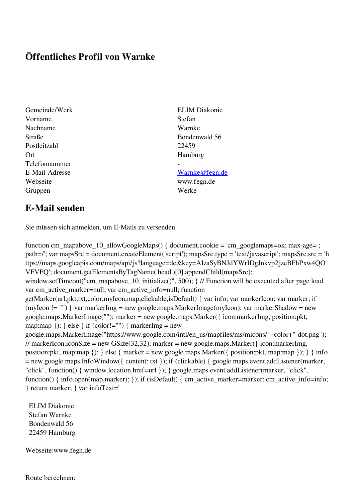## **Öffentliches Profil von Warnke**

- Gemeinde/Werk ELIM Diakonie Vorname Stefan Nachname Warnke Straße Bondenwald 56 Postleitzahl 22459 Ort Hamburg Telefonnummer - Webseite www.fegn.de Gruppen Werke
	-

## E-Mail-Adresse [Warnke@fegn.de](mailto:Warnke@fegn.de)

## **E-Mail senden**

Sie müssen sich anmelden, um E-Mails zu versenden.

function cm\_mapabove\_10\_allowGoogleMaps() { document.cookie = 'cm\_googlemaps=ok; max-age= ; path=/'; var mapsSrc = document.createElement('script'); mapsSrc.type = 'text/javascript'; mapsSrc.src = 'h ttps://maps.googleapis.com/maps/api/js?language=de&key=AIzaSyBNJdYWrIDgJnkvp2jzeBFhPxw4QO VFVFQ'; document.getElementsByTagName('head')[0].appendChild(mapsSrc); window.setTimeout("cm\_mapabove\_10\_initialize()", 500); } // Function will be executed after page load var cm\_active\_marker=null; var cm\_active\_info=null; function getMarker(url,pkt,txt,color,myIcon,map,clickable,isDefault) { var info; var markerIcon; var marker; if (myIcon != "") { var markerImg = new google.maps.MarkerImage(myIcon); var markerShadow = new google.maps.MarkerImage(""); marker = new google.maps.Marker({ icon:markerImg, position:pkt, map:map  $\}$ ;  $\}$  else  $\{$  if (color!="")  $\{$  markerImg = new google.maps.MarkerImage("https://www.google.com/intl/en\_us/mapfiles/ms/micons/"+color+"-dot.png"); // markerIcon.iconSize = new GSize(32,32); marker = new google.maps.Marker({ $i$ con:markerImg, position:pkt, map:map }); } else { marker = new google.maps.Marker({ position:pkt, map:map }); } } info = new google.maps.InfoWindow({ content: txt }); if (clickable) { google.maps.event.addListener(marker, "click", function() { window.location.href=url }); } google.maps.event.addListener(marker, "click", function() { info.open(map,marker); }); if (isDefault) { cm\_active\_marker=marker; cm\_active\_info=info; } return marker; } var infoText='

 ELIM Diakonie Stefan Warnke Bondenwald 56 22459 Hamburg

Webseite:www.fegn.de